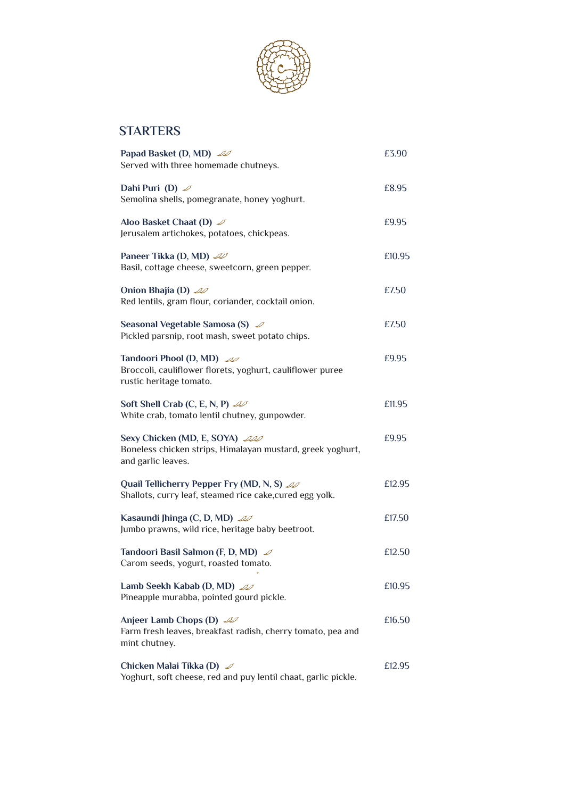

## **STARTERS**

| Papad Basket (D, MD) 20<br>Served with three homemade chutneys.                                                     | £3.90  |
|---------------------------------------------------------------------------------------------------------------------|--------|
| Dahi Puri (D) $\mathcal{D}$<br>Semolina shells, pomegranate, honey yoghurt.                                         | £8.95  |
| Aloo Basket Chaat (D) $\mathcal{D}$<br>Jerusalem artichokes, potatoes, chickpeas.                                   | £9.95  |
| Paneer Tikka (D, MD) 20<br>Basil, cottage cheese, sweetcorn, green pepper.                                          | £10.95 |
| Onion Bhajia (D) $\mathscr{A}$<br>Red lentils, gram flour, coriander, cocktail onion.                               | £7.50  |
| Seasonal Vegetable Samosa (S) $\mathscr{D}$<br>Pickled parsnip, root mash, sweet potato chips.                      | £7.50  |
| Tandoori Phool (D, MD) 20<br>Broccoli, cauliflower florets, yoghurt, cauliflower puree<br>rustic heritage tomato.   | £9.95  |
| Soft Shell Crab (C, E, N, P) $\mathcal{Q}$<br>White crab, tomato lentil chutney, gunpowder.                         | £11.95 |
| Sexy Chicken (MD, E, SOYA) 200<br>Boneless chicken strips, Himalayan mustard, greek yoghurt,<br>and garlic leaves.  | £9.95  |
| Quail Tellicherry Pepper Fry (MD, N, S) 20<br>Shallots, curry leaf, steamed rice cake, cured egg yolk.              | £12.95 |
| Kasaundi Jhinga (C, D, MD) 20<br>Jumbo prawns, wild rice, heritage baby beetroot.                                   | £17.50 |
| Tandoori Basil Salmon (F, D, MD) ∠<br>Carom seeds, yogurt, roasted tomato.                                          | £12.50 |
| Lamb Seekh Kabab (D, MD) 20<br>Pineapple murabba, pointed gourd pickle.                                             | £10.95 |
| Anjeer Lamb Chops (D) $\mathcal{L}$<br>Farm fresh leaves, breakfast radish, cherry tomato, pea and<br>mint chutney. | £16.50 |
| Chicken Malai Tikka (D) $\mathcal{D}$<br>Yoghurt, soft cheese, red and puy lentil chaat, garlic pickle.             | £12.95 |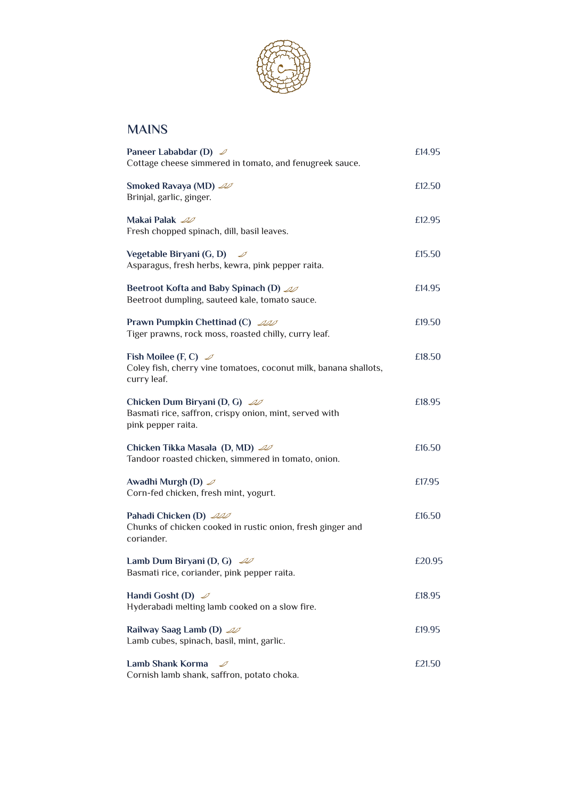

## **MAINS**

| Paneer Lababdar (D) $\mathcal{D}$<br>Cottage cheese simmered in tomato, and fenugreek sauce.                             | £14.95 |
|--------------------------------------------------------------------------------------------------------------------------|--------|
| Smoked Ravaya (MD) 20<br>Brinjal, garlic, ginger.                                                                        | £12.50 |
| Makai Palak <i>Z</i><br>Fresh chopped spinach, dill, basil leaves.                                                       | £12.95 |
| Vegetable Biryani (G, D)<br>Asparagus, fresh herbs, kewra, pink pepper raita.                                            | £15.50 |
| <b>Beetroot Kofta and Baby Spinach (D)</b> 20<br>Beetroot dumpling, sauteed kale, tomato sauce.                          | £14.95 |
| <b>Prawn Pumpkin Chettinad (C)</b> 200<br>Tiger prawns, rock moss, roasted chilly, curry leaf.                           | £19.50 |
| Fish Moilee (F, C) $\mathscr{D}$<br>Coley fish, cherry vine tomatoes, coconut milk, banana shallots,<br>curry leaf.      | £18.50 |
| Chicken Dum Biryani (D, G) $\mathscr{A}$<br>Basmati rice, saffron, crispy onion, mint, served with<br>pink pepper raita. | £18.95 |
| Chicken Tikka Masala (D, MD) 20<br>Tandoor roasted chicken, simmered in tomato, onion.                                   | £16.50 |
| Awadhi Murgh (D) $\mathcal{D}$<br>Corn-fed chicken, fresh mint, yogurt.                                                  | £17.95 |
| Pahadi Chicken (D) 200<br>Chunks of chicken cooked in rustic onion, fresh ginger and<br>coriander.                       | £16.50 |
| Lamb Dum Biryani (D, G) $\mathscr{A}$<br>Basmati rice, coriander, pink pepper raita.                                     | £20.95 |
| Handi Gosht (D) $\mathcal{D}$<br>Hyderabadi melting lamb cooked on a slow fire.                                          | £18.95 |
| Railway Saag Lamb (D) 20<br>Lamb cubes, spinach, basil, mint, garlic.                                                    | £19.95 |
| <b>Lamb Shank Korma</b><br>Cornish lamb shank, saffron, potato choka.                                                    | £21.50 |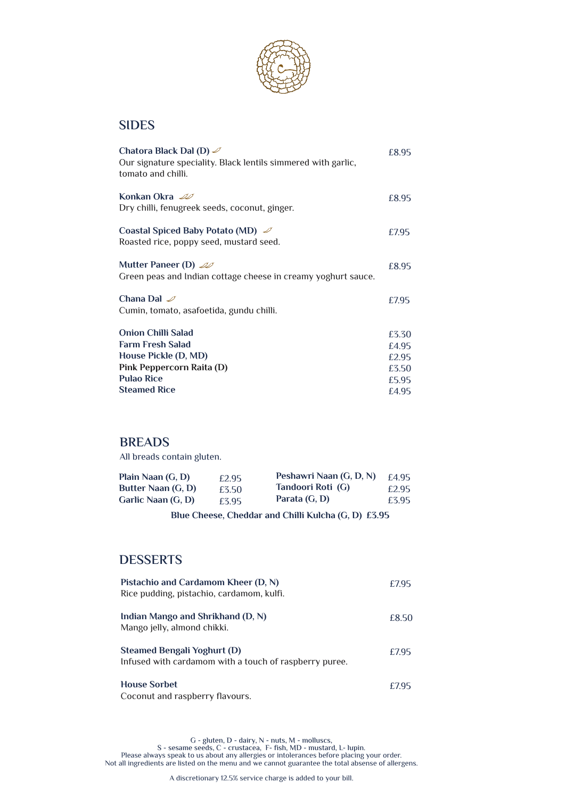

#### **SIDES**

| Chatora Black Dal (D) $\mathcal{D}$<br>Our signature speciality. Black lentils simmered with garlic,<br>tomato and chilli. | £8.95 |
|----------------------------------------------------------------------------------------------------------------------------|-------|
| Konkan Okra 20<br>Dry chilli, fenugreek seeds, coconut, ginger.                                                            | £8.95 |
| Coastal Spiced Baby Potato (MD) $\mathcal{D}$<br>Roasted rice, poppy seed, mustard seed.                                   | £7.95 |
| Mutter Paneer (D) $\mathscr{A}$<br>Green peas and Indian cottage cheese in creamy yoghurt sauce.                           | £8.95 |
| Chana Dal $\mathscr{D}$<br>Cumin, tomato, asafoetida, gundu chilli.                                                        | £7.95 |
| <b>Onion Chilli Salad</b>                                                                                                  | £3.30 |
| <b>Farm Fresh Salad</b>                                                                                                    | £4.95 |
| House Pickle (D, MD)                                                                                                       | £2.95 |
| Pink Peppercorn Raita (D)                                                                                                  | £3.50 |
| <b>Pulao Rice</b>                                                                                                          | £5.95 |
| <b>Steamed Rice</b>                                                                                                        | £4.95 |

#### **BREADS**

All breads contain gluten.

| Plain Naan (G, D)  | £2.95 | Peshawri Naan (G, D, N) | £4.95 |
|--------------------|-------|-------------------------|-------|
| Butter Naan (G, D) | £3.50 | Tandoori Roti (G)       | £2.95 |
| Garlic Naan (G, D) | £3.95 | Parata (G, D)           | £3.95 |

**Blue Cheese, Cheddar and Chilli Kulcha (G, D) £3.95**

### **DESSERTS**

| Pistachio and Cardamom Kheer (D, N)<br>Rice pudding, pistachio, cardamom, kulfi.      |       |
|---------------------------------------------------------------------------------------|-------|
| Indian Mango and Shrikhand (D, N)<br>Mango jelly, almond chikki.                      | £8.50 |
| Steamed Bengali Yoghurt (D)<br>Infused with cardamom with a touch of raspberry puree. | £7.95 |
| <b>House Sorbet</b><br>Coconut and raspberry flavours.                                | £7.95 |